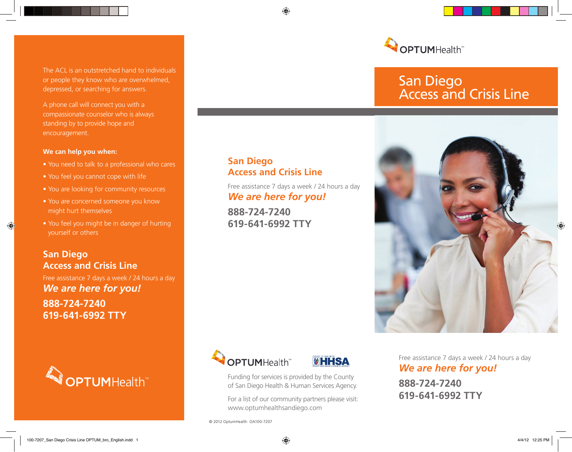The ACL is an outstretched hand to individuals or people they know who are overwhelmed, depressed, or searching for answers.

A phone call will connect you with a compassionate counselor who is always standing by to provide hope and encouragement.

#### **We can help you when:**

Æ

- You need to talk to a professional who cares
- You feel you cannot cope with life
- You are looking for community resources
- You are concerned someone you know might hurt themselves
- You feel you might be in danger of hurting yourself or others

# **San Diego Access and Crisis Line** Free assistance 7 days a week / 24 hours a day *We are here for you!* **888-724-7240 619-641-6992 TTY**



## **San Diego Access and Crisis Line**

⊕

Free assistance 7 days a week / 24 hours a day *We are here for you!*

**888-724-7240 619-641-6992 TTY**





Funding for services is provided by the County of San Diego Health & Human Services Agency.

For a list of our community partners please visit: www.optumhealthsandiego.com

© 2012 OptumHealth OA100-7207



# San Diego Access and Crisis Line



Free assistance 7 days a week / 24 hours a day *We are here for you!*

**888-724-7240 619-641-6992 TTY**